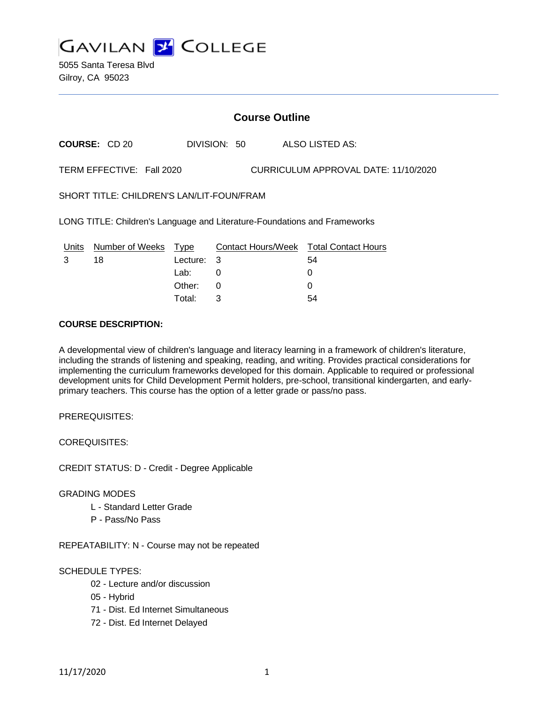

5055 Santa Teresa Blvd Gilroy, CA 95023

## **Course Outline**

**COURSE:** CD 20 DIVISION: 50 ALSO LISTED AS:

TERM EFFECTIVE: Fall 2020 CURRICULUM APPROVAL DATE: 11/10/2020

SHORT TITLE: CHILDREN'S LAN/LIT-FOUN/FRAM

LONG TITLE: Children's Language and Literature-Foundations and Frameworks

| Units | Number of Weeks Type |            | <b>Contact Hours/Week Total Contact Hours</b> |    |
|-------|----------------------|------------|-----------------------------------------------|----|
|       | 18                   | Lecture: 3 |                                               | 54 |
|       |                      | Lab: .     |                                               |    |
|       |                      | Other: 0   |                                               |    |
|       |                      | Total:     |                                               | 54 |

#### **COURSE DESCRIPTION:**

A developmental view of children's language and literacy learning in a framework of children's literature, including the strands of listening and speaking, reading, and writing. Provides practical considerations for implementing the curriculum frameworks developed for this domain. Applicable to required or professional development units for Child Development Permit holders, pre-school, transitional kindergarten, and earlyprimary teachers. This course has the option of a letter grade or pass/no pass.

PREREQUISITES:

COREQUISITES:

CREDIT STATUS: D - Credit - Degree Applicable

#### GRADING MODES

- L Standard Letter Grade
- P Pass/No Pass

REPEATABILITY: N - Course may not be repeated

### SCHEDULE TYPES:

- 02 Lecture and/or discussion
- 05 Hybrid
- 71 Dist. Ed Internet Simultaneous
- 72 Dist. Ed Internet Delayed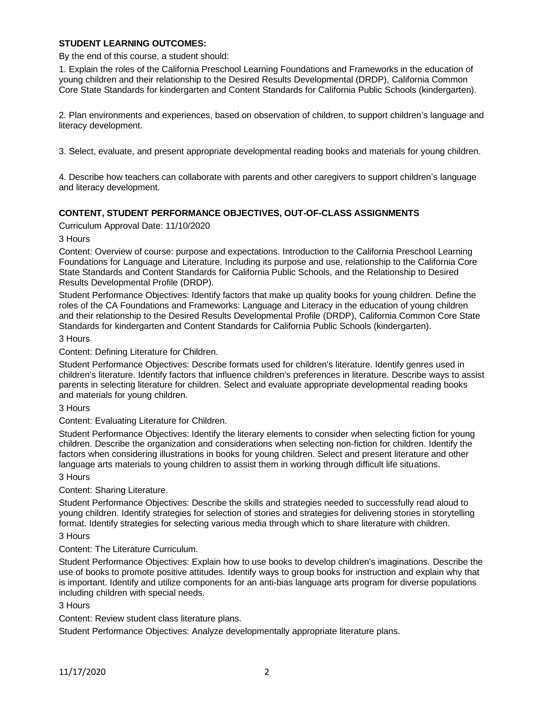### **STUDENT LEARNING OUTCOMES:**

By the end of this course, a student should:

1. Explain the roles of the California Preschool Learning Foundations and Frameworks in the education of young children and their relationship to the Desired Results Developmental (DRDP), California Common Core State Standards for kindergarten and Content Standards for California Public Schools (kindergarten).

2. Plan environments and experiences, based on observation of children, to support children's language and literacy development.

3. Select, evaluate, and present appropriate developmental reading books and materials for young children.

4. Describe how teachers can collaborate with parents and other caregivers to support children's language and literacy development.

### **CONTENT, STUDENT PERFORMANCE OBJECTIVES, OUT-OF-CLASS ASSIGNMENTS**

Curriculum Approval Date: 11/10/2020

3 Hours

Content: Overview of course: purpose and expectations. Introduction to the California Preschool Learning Foundations for Language and Literature. Including its purpose and use, relationship to the California Core State Standards and Content Standards for California Public Schools, and the Relationship to Desired Results Developmental Profile (DRDP).

Student Performance Objectives: Identify factors that make up quality books for young children. Define the roles of the CA Foundations and Frameworks: Language and Literacy in the education of young children and their relationship to the Desired Results Developmental Profile (DRDP), California Common Core State Standards for kindergarten and Content Standards for California Public Schools (kindergarten).

#### 3 Hours

Content: Defining Literature for Children.

Student Performance Objectives: Describe formats used for children's literature. Identify genres used in children's literature. Identify factors that influence children's preferences in literature. Describe ways to assist parents in selecting literature for children. Select and evaluate appropriate developmental reading books and materials for young children.

3 Hours

Content: Evaluating Literature for Children.

Student Performance Objectives: Identify the literary elements to consider when selecting fiction for young children. Describe the organization and considerations when selecting non-fiction for children. Identify the factors when considering illustrations in books for young children. Select and present literature and other language arts materials to young children to assist them in working through difficult life situations.

3 Hours

Content: Sharing Literature.

Student Performance Objectives: Describe the skills and strategies needed to successfully read aloud to young children. Identify strategies for selection of stories and strategies for delivering stories in storytelling format. Identify strategies for selecting various media through which to share literature with children.

#### 3 Hours

### Content: The Literature Curriculum.

Student Performance Objectives: Explain how to use books to develop children's imaginations. Describe the use of books to promote positive attitudes. Identify ways to group books for instruction and explain why that is important. Identify and utilize components for an anti-bias language arts program for diverse populations including children with special needs.

#### 3 Hours

Content: Review student class literature plans.

Student Performance Objectives: Analyze developmentally appropriate literature plans.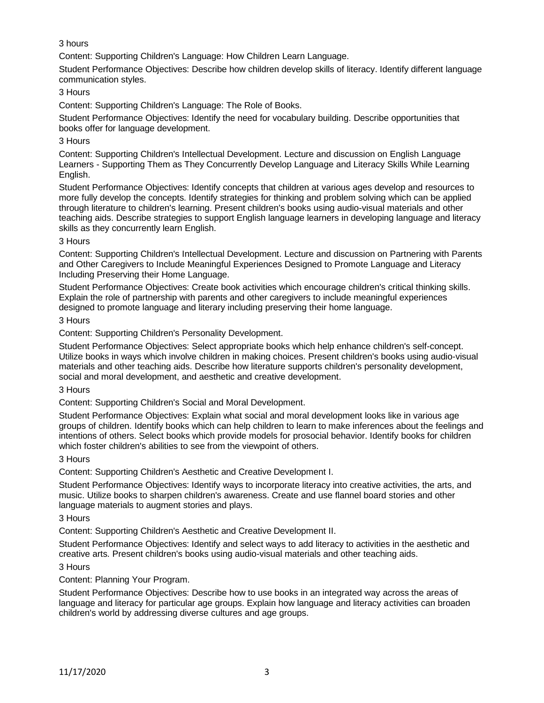## 3 hours

Content: Supporting Children's Language: How Children Learn Language.

Student Performance Objectives: Describe how children develop skills of literacy. Identify different language communication styles.

## 3 Hours

Content: Supporting Children's Language: The Role of Books.

Student Performance Objectives: Identify the need for vocabulary building. Describe opportunities that books offer for language development.

## 3 Hours

Content: Supporting Children's Intellectual Development. Lecture and discussion on English Language Learners - Supporting Them as They Concurrently Develop Language and Literacy Skills While Learning English.

Student Performance Objectives: Identify concepts that children at various ages develop and resources to more fully develop the concepts. Identify strategies for thinking and problem solving which can be applied through literature to children's learning. Present children's books using audio-visual materials and other teaching aids. Describe strategies to support English language learners in developing language and literacy skills as they concurrently learn English.

## 3 Hours

Content: Supporting Children's Intellectual Development. Lecture and discussion on Partnering with Parents and Other Caregivers to Include Meaningful Experiences Designed to Promote Language and Literacy Including Preserving their Home Language.

Student Performance Objectives: Create book activities which encourage children's critical thinking skills. Explain the role of partnership with parents and other caregivers to include meaningful experiences designed to promote language and literary including preserving their home language.

3 Hours

Content: Supporting Children's Personality Development.

Student Performance Objectives: Select appropriate books which help enhance children's self-concept. Utilize books in ways which involve children in making choices. Present children's books using audio-visual materials and other teaching aids. Describe how literature supports children's personality development, social and moral development, and aesthetic and creative development.

### 3 Hours

Content: Supporting Children's Social and Moral Development.

Student Performance Objectives: Explain what social and moral development looks like in various age groups of children. Identify books which can help children to learn to make inferences about the feelings and intentions of others. Select books which provide models for prosocial behavior. Identify books for children which foster children's abilities to see from the viewpoint of others.

### 3 Hours

Content: Supporting Children's Aesthetic and Creative Development I.

Student Performance Objectives: Identify ways to incorporate literacy into creative activities, the arts, and music. Utilize books to sharpen children's awareness. Create and use flannel board stories and other language materials to augment stories and plays.

3 Hours

Content: Supporting Children's Aesthetic and Creative Development II.

Student Performance Objectives: Identify and select ways to add literacy to activities in the aesthetic and creative arts. Present children's books using audio-visual materials and other teaching aids.

# 3 Hours

Content: Planning Your Program.

Student Performance Objectives: Describe how to use books in an integrated way across the areas of language and literacy for particular age groups. Explain how language and literacy activities can broaden children's world by addressing diverse cultures and age groups.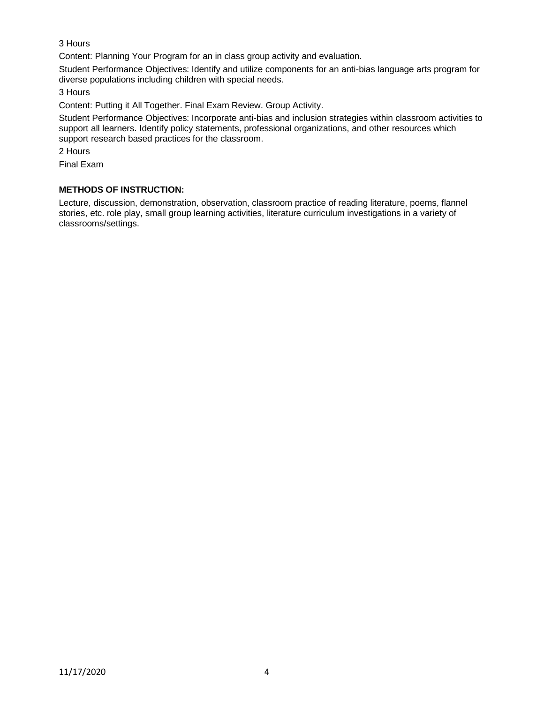## 3 Hours

Content: Planning Your Program for an in class group activity and evaluation.

Student Performance Objectives: Identify and utilize components for an anti-bias language arts program for diverse populations including children with special needs.

3 Hours

Content: Putting it All Together. Final Exam Review. Group Activity.

Student Performance Objectives: Incorporate anti-bias and inclusion strategies within classroom activities to support all learners. Identify policy statements, professional organizations, and other resources which support research based practices for the classroom.

2 Hours

Final Exam

## **METHODS OF INSTRUCTION:**

Lecture, discussion, demonstration, observation, classroom practice of reading literature, poems, flannel stories, etc. role play, small group learning activities, literature curriculum investigations in a variety of classrooms/settings.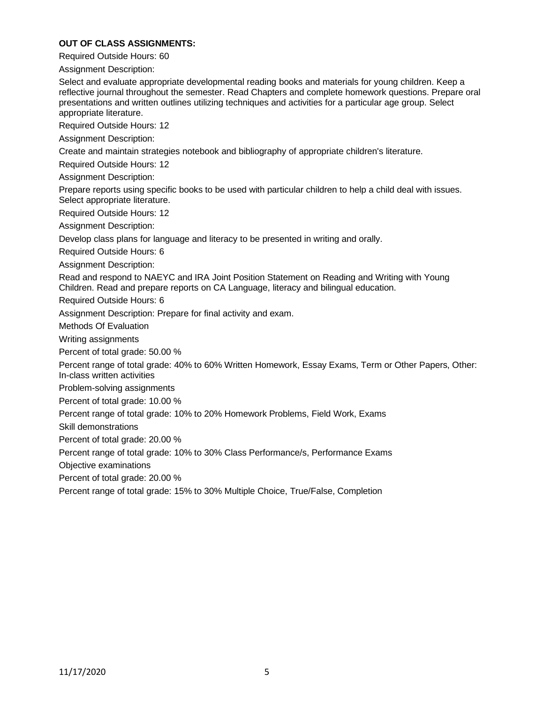### **OUT OF CLASS ASSIGNMENTS:**

Required Outside Hours: 60

Assignment Description:

Select and evaluate appropriate developmental reading books and materials for young children. Keep a reflective journal throughout the semester. Read Chapters and complete homework questions. Prepare oral presentations and written outlines utilizing techniques and activities for a particular age group. Select appropriate literature.

Required Outside Hours: 12

Assignment Description:

Create and maintain strategies notebook and bibliography of appropriate children's literature.

Required Outside Hours: 12

Assignment Description:

Prepare reports using specific books to be used with particular children to help a child deal with issues. Select appropriate literature.

Required Outside Hours: 12

Assignment Description:

Develop class plans for language and literacy to be presented in writing and orally.

Required Outside Hours: 6

Assignment Description:

Read and respond to NAEYC and IRA Joint Position Statement on Reading and Writing with Young Children. Read and prepare reports on CA Language, literacy and bilingual education.

Required Outside Hours: 6

Assignment Description: Prepare for final activity and exam.

Methods Of Evaluation

Writing assignments

Percent of total grade: 50.00 %

Percent range of total grade: 40% to 60% Written Homework, Essay Exams, Term or Other Papers, Other: In-class written activities

Problem-solving assignments

Percent of total grade: 10.00 %

Percent range of total grade: 10% to 20% Homework Problems, Field Work, Exams

Skill demonstrations

Percent of total grade: 20.00 %

Percent range of total grade: 10% to 30% Class Performance/s, Performance Exams

Objective examinations

Percent of total grade: 20.00 %

Percent range of total grade: 15% to 30% Multiple Choice, True/False, Completion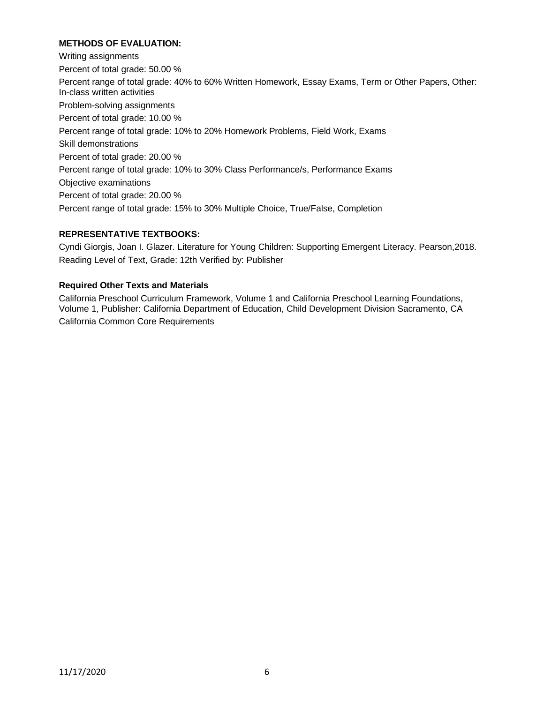## **METHODS OF EVALUATION:**

Writing assignments Percent of total grade: 50.00 % Percent range of total grade: 40% to 60% Written Homework, Essay Exams, Term or Other Papers, Other: In-class written activities Problem-solving assignments Percent of total grade: 10.00 % Percent range of total grade: 10% to 20% Homework Problems, Field Work, Exams Skill demonstrations Percent of total grade: 20.00 % Percent range of total grade: 10% to 30% Class Performance/s, Performance Exams Objective examinations Percent of total grade: 20.00 % Percent range of total grade: 15% to 30% Multiple Choice, True/False, Completion

## **REPRESENTATIVE TEXTBOOKS:**

Cyndi Giorgis, Joan I. Glazer. Literature for Young Children: Supporting Emergent Literacy. Pearson,2018. Reading Level of Text, Grade: 12th Verified by: Publisher

### **Required Other Texts and Materials**

California Preschool Curriculum Framework, Volume 1 and California Preschool Learning Foundations, Volume 1, Publisher: California Department of Education, Child Development Division Sacramento, CA California Common Core Requirements